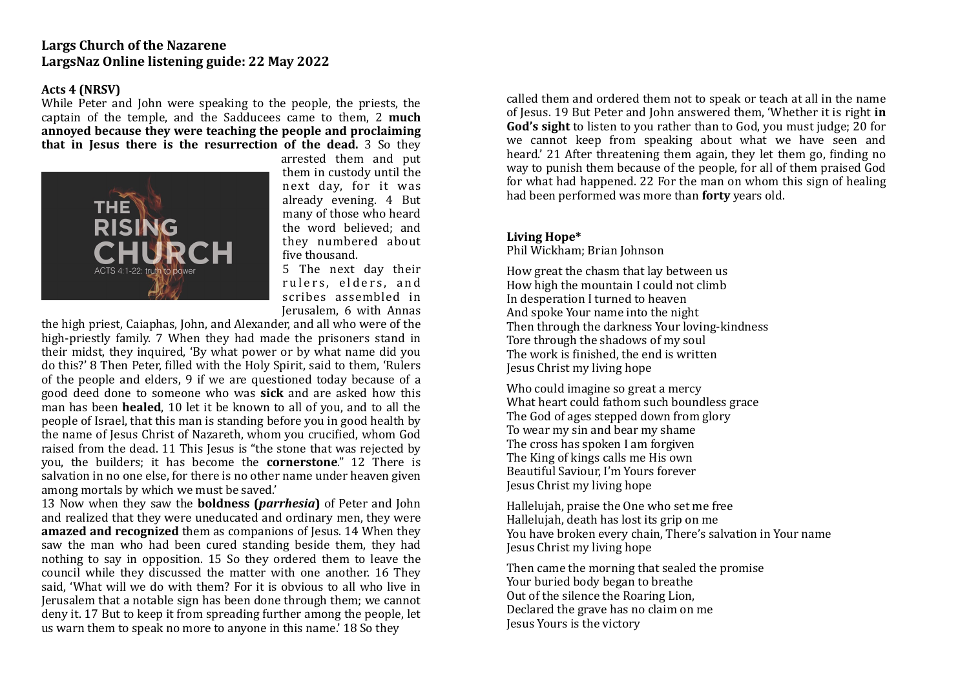## **Largs Church of the Nazarene** LargsNaz Online listening guide: 22 May 2022

### Acts 4 (NRSV)

While Peter and John were speaking to the people, the priests, the captain of the temple, and the Sadducees came to them, 2 **much** annoved because they were teaching the people and proclaiming **that in Jesus there is the resurrection of the dead.** 3 So they



arrested them and put them in custody until the next day, for it was already evening. 4 But many of those who heard the word believed; and they numbered about five thousand.

5 The next day their rulers, elders, and scribes assembled in Jerusalem, 6 with Annas

the high priest, Caiaphas, John, and Alexander, and all who were of the high-priestly family. 7 When they had made the prisoners stand in their midst, they inquired, 'By what power or by what name did you do this?' 8 Then Peter, filled with the Holy Spirit, said to them, 'Rulers of the people and elders,  $9$  if we are questioned today because of a good deed done to someone who was **sick** and are asked how this man has been **healed**, 10 let it be known to all of you, and to all the people of Israel, that this man is standing before you in good health by the name of Jesus Christ of Nazareth, whom you crucified, whom God raised from the dead. 11 This Jesus is "the stone that was rejected by you, the builders; it has become the **cornerstone**." 12 There is salvation in no one else, for there is no other name under heaven given among mortals by which we must be saved.'

13 Now when they saw the **boldness (***parrhesia***)** of Peter and John and realized that they were uneducated and ordinary men, they were **amazed and recognized** them as companions of Jesus. 14 When they saw the man who had been cured standing beside them, they had nothing to say in opposition. 15 So they ordered them to leave the council while they discussed the matter with one another. 16 They said. 'What will we do with them? For it is obvious to all who live in Jerusalem that a notable sign has been done through them; we cannot deny it. 17 But to keep it from spreading further among the people, let us warn them to speak no more to anyone in this name.' 18 So they

called them and ordered them not to speak or teach at all in the name of Iesus. 19 But Peter and John answered them. 'Whether it is right in **God's sight** to listen to you rather than to God, you must judge: 20 for we cannot keep from speaking about what we have seen and heard.' 21 After threatening them again, they let them go, finding no way to punish them because of the people, for all of them praised God for what had happened. 22 For the man on whom this sign of healing had been performed was more than **forty** vears old.

### Living Hope\*

Phil Wickham; Brian Johnson

How great the chasm that lay between us How high the mountain I could not climb In desperation I turned to heaven And spoke Your name into the night Then through the darkness Your loving-kindness Tore through the shadows of my soul The work is finished, the end is written Jesus Christ my living hope

Who could imagine so great a mercy What heart could fathom such boundless grace The God of ages stepped down from glory To wear my sin and bear my shame The cross has spoken I am forgiven The King of kings calls me His own Beautiful Saviour, I'm Yours forever Jesus Christ my living hope

Hallelujah, praise the One who set me free Hallelujah, death has lost its grip on me You have broken every chain, There's salvation in Your name Jesus Christ my living hope

Then came the morning that sealed the promise Your buried body began to breathe Out of the silence the Roaring Lion, Declared the grave has no claim on me Jesus Yours is the victory